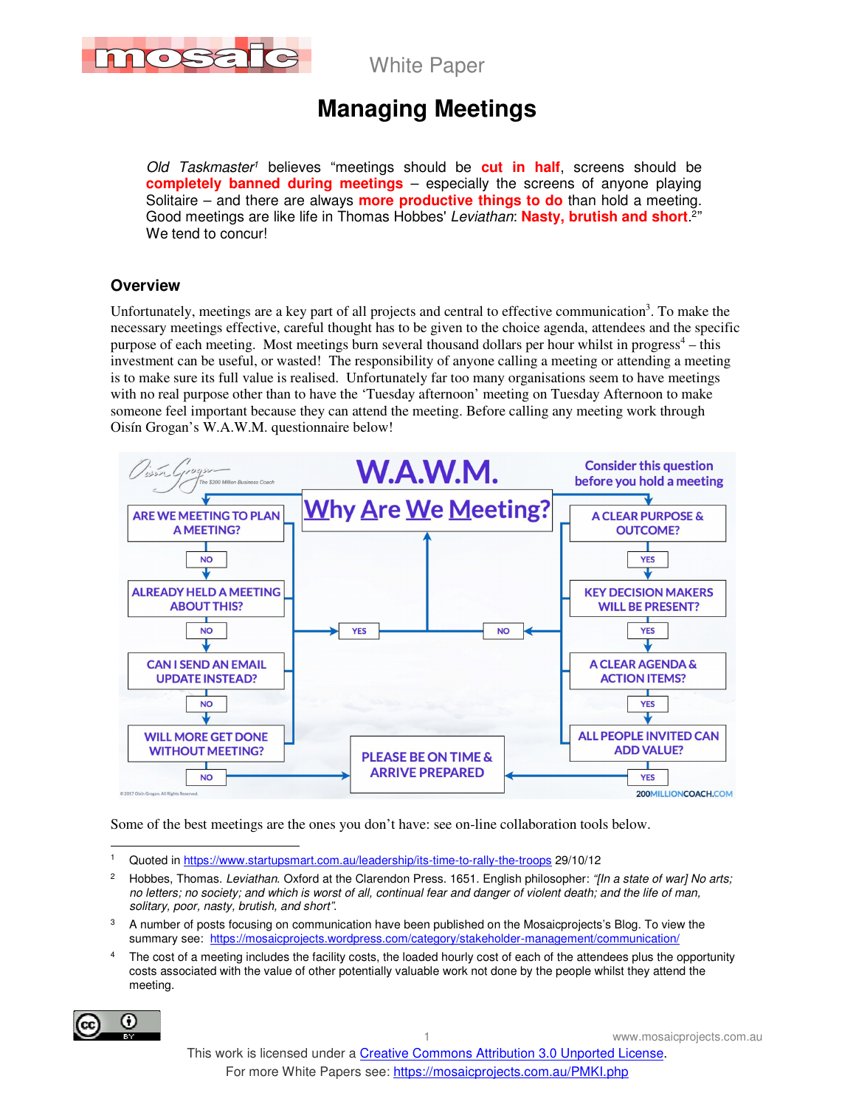

# **Managing Meetings**

Old Taskmaster<sup>1</sup> believes "meetings should be **cut in half**, screens should be **completely banned during meetings** – especially the screens of anyone playing Solitaire – and there are always **more productive things to do** than hold a meeting. Good meetings are like life in Thomas Hobbes' Leviathan: Nasty, brutish and short.<sup>2</sup>" We tend to concur!

#### **Overview**

Unfortunately, meetings are a key part of all projects and central to effective communication<sup>3</sup>. To make the necessary meetings effective, careful thought has to be given to the choice agenda, attendees and the specific purpose of each meeting. Most meetings burn several thousand dollars per hour whilst in progress<sup>4</sup> – this investment can be useful, or wasted! The responsibility of anyone calling a meeting or attending a meeting is to make sure its full value is realised. Unfortunately far too many organisations seem to have meetings with no real purpose other than to have the 'Tuesday afternoon' meeting on Tuesday Afternoon to make someone feel important because they can attend the meeting. Before calling any meeting work through Oisín Grogan's W.A.W.M. questionnaire below!



Some of the best meetings are the ones you don't have: see on-line collaboration tools below.

- $\ddot{\phantom{a}}$ 1 Quoted in https://www.startupsmart.com.au/leadership/its-time-to-rally-the-troops 29/10/12
- 2 Hobbes, Thomas. Leviathan. Oxford at the Clarendon Press. 1651. English philosopher: "[In a state of war] No arts: no letters; no society; and which is worst of all, continual fear and danger of violent death; and the life of man, solitary, poor, nasty, brutish, and short".
- 3 A number of posts focusing on communication have been published on the Mosaicprojects's Blog. To view the summary see: https://mosaicprojects.wordpress.com/category/stakeholder-management/communication/
- 4 The cost of a meeting includes the facility costs, the loaded hourly cost of each of the attendees plus the opportunity costs associated with the value of other potentially valuable work not done by the people whilst they attend the meeting.

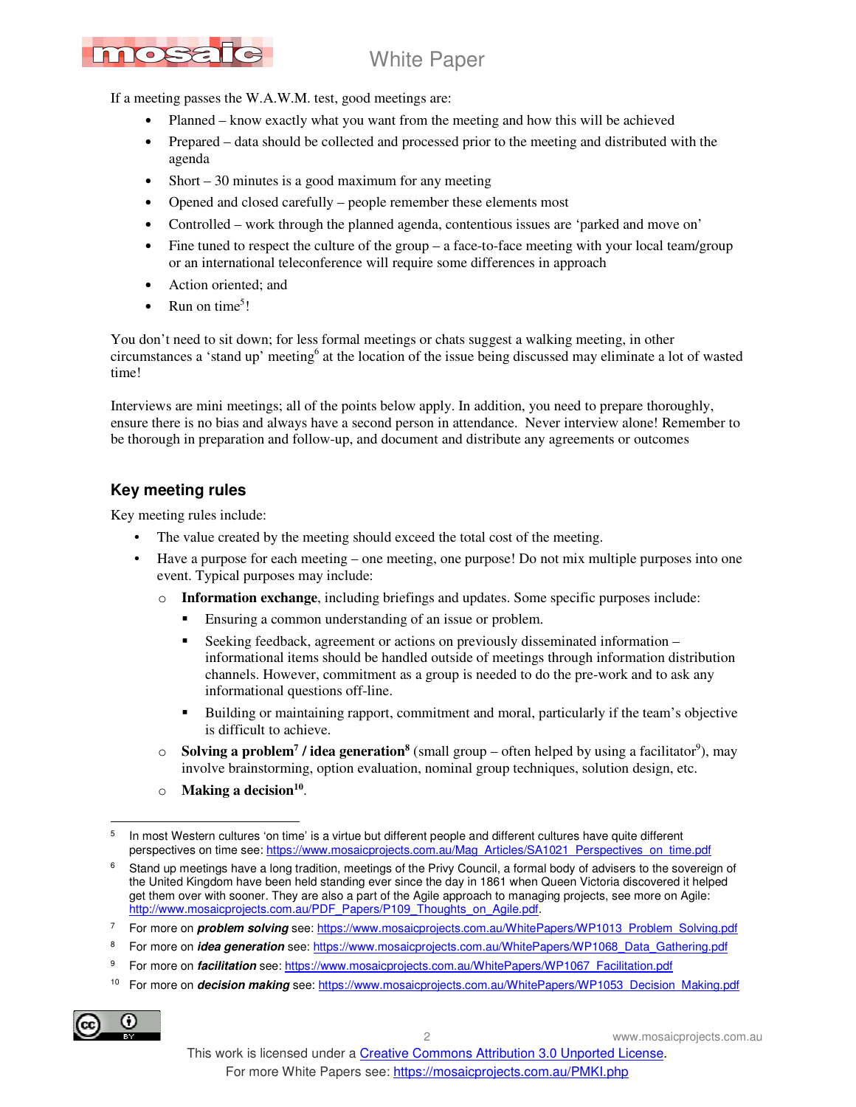# mosa

# White Paper

If a meeting passes the W.A.W.M. test, good meetings are:

- Planned know exactly what you want from the meeting and how this will be achieved
- Prepared data should be collected and processed prior to the meeting and distributed with the agenda
- Short  $-30$  minutes is a good maximum for any meeting
- Opened and closed carefully people remember these elements most
- Controlled work through the planned agenda, contentious issues are 'parked and move on'
- Fine tuned to respect the culture of the group a face-to-face meeting with your local team/group or an international teleconference will require some differences in approach
- Action oriented; and
- Run on time<sup>5</sup>!

You don't need to sit down; for less formal meetings or chats suggest a walking meeting, in other circumstances a 'stand up' meeting<sup>6</sup> at the location of the issue being discussed may eliminate a lot of wasted time!

Interviews are mini meetings; all of the points below apply. In addition, you need to prepare thoroughly, ensure there is no bias and always have a second person in attendance. Never interview alone! Remember to be thorough in preparation and follow-up, and document and distribute any agreements or outcomes

### **Key meeting rules**

Key meeting rules include:

- The value created by the meeting should exceed the total cost of the meeting.
- Have a purpose for each meeting one meeting, one purpose! Do not mix multiple purposes into one event. Typical purposes may include:
	- o **Information exchange**, including briefings and updates. Some specific purposes include:
		- Ensuring a common understanding of an issue or problem.
		- Seeking feedback, agreement or actions on previously disseminated information informational items should be handled outside of meetings through information distribution channels. However, commitment as a group is needed to do the pre-work and to ask any informational questions off-line.
		- Building or maintaining rapport, commitment and moral, particularly if the team's objective is difficult to achieve.
	- $\circ$  **Solving a problem<sup>7</sup> / idea generation<sup>8</sup>** (small group often helped by using a facilitator<sup>9</sup>), may involve brainstorming, option evaluation, nominal group techniques, solution design, etc.
	- o **Making a decision<sup>10</sup>** .

<sup>&</sup>lt;sup>10</sup> For more on *decision making* see: https://www.mosaicprojects.com.au/WhitePapers/WP1053\_Decision\_Making.pdf



 $\ddot{\phantom{a}}$ 5 In most Western cultures 'on time' is a virtue but different people and different cultures have quite different perspectives on time see: https://www.mosaicprojects.com.au/Mag\_Articles/SA1021\_Perspectives\_on\_time.pdf

<sup>6</sup> Stand up meetings have a long tradition, meetings of the Privy Council, a formal body of advisers to the sovereign of the United Kingdom have been held standing ever since the day in 1861 when Queen Victoria discovered it helped get them over with sooner. They are also a part of the Agile approach to managing projects, see more on Agile: http://www.mosaicprojects.com.au/PDF\_Papers/P109\_Thoughts\_on\_Agile.pdf.

<sup>7</sup> For more on **problem solving** see: https://www.mosaicprojects.com.au/WhitePapers/WP1013\_Problem\_Solving.pdf

<sup>&</sup>lt;sup>8</sup> For more on *idea generation* see: https://www.mosaicprojects.com.au/WhitePapers/WP1068\_Data\_Gathering.pdf

<sup>9</sup> For more on **facilitation** see: https://www.mosaicprojects.com.au/WhitePapers/WP1067\_Facilitation.pdf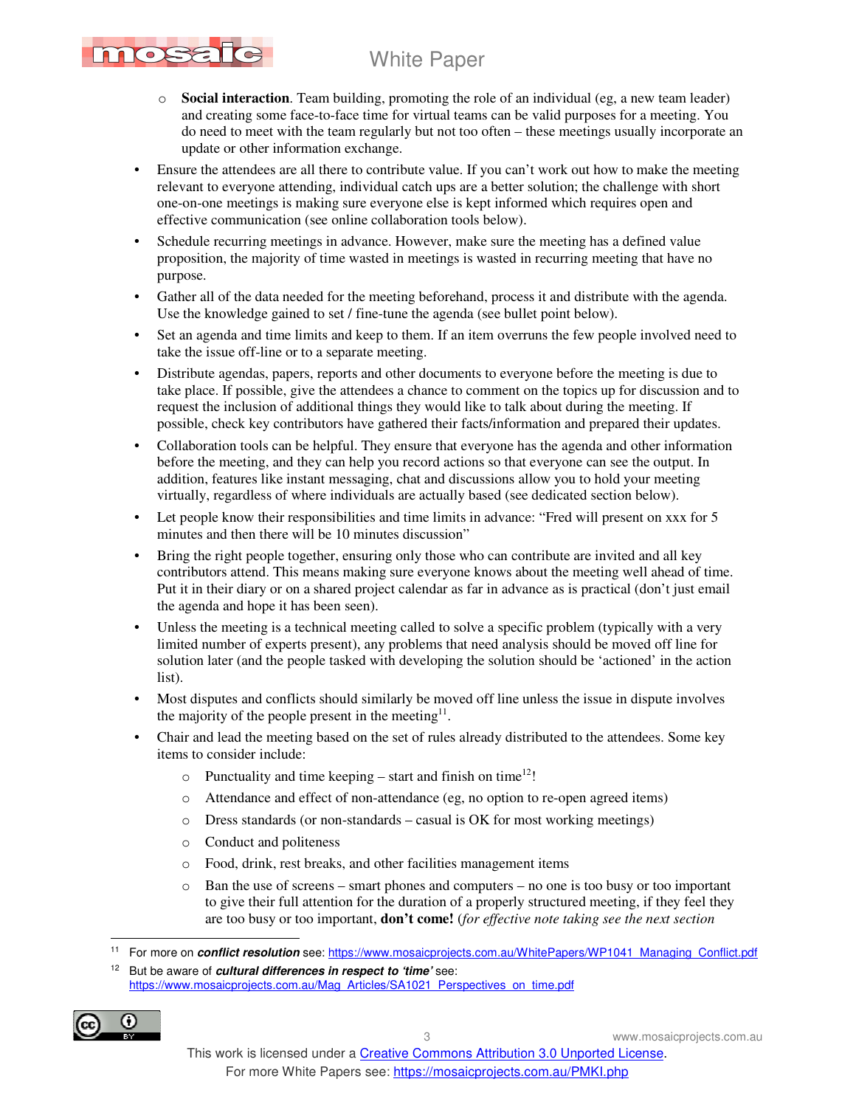

- Social interaction. Team building, promoting the role of an individual (eg, a new team leader) and creating some face-to-face time for virtual teams can be valid purposes for a meeting. You do need to meet with the team regularly but not too often – these meetings usually incorporate an update or other information exchange.
- Ensure the attendees are all there to contribute value. If you can't work out how to make the meeting relevant to everyone attending, individual catch ups are a better solution; the challenge with short one-on-one meetings is making sure everyone else is kept informed which requires open and effective communication (see online collaboration tools below).
- Schedule recurring meetings in advance. However, make sure the meeting has a defined value proposition, the majority of time wasted in meetings is wasted in recurring meeting that have no purpose.
- Gather all of the data needed for the meeting beforehand, process it and distribute with the agenda. Use the knowledge gained to set / fine-tune the agenda (see bullet point below).
- Set an agenda and time limits and keep to them. If an item overruns the few people involved need to take the issue off-line or to a separate meeting.
- Distribute agendas, papers, reports and other documents to everyone before the meeting is due to take place. If possible, give the attendees a chance to comment on the topics up for discussion and to request the inclusion of additional things they would like to talk about during the meeting. If possible, check key contributors have gathered their facts/information and prepared their updates.
- Collaboration tools can be helpful. They ensure that everyone has the agenda and other information before the meeting, and they can help you record actions so that everyone can see the output. In addition, features like instant messaging, chat and discussions allow you to hold your meeting virtually, regardless of where individuals are actually based (see dedicated section below).
- Let people know their responsibilities and time limits in advance: "Fred will present on xxx for 5 minutes and then there will be 10 minutes discussion"
- Bring the right people together, ensuring only those who can contribute are invited and all key contributors attend. This means making sure everyone knows about the meeting well ahead of time. Put it in their diary or on a shared project calendar as far in advance as is practical (don't just email the agenda and hope it has been seen).
- Unless the meeting is a technical meeting called to solve a specific problem (typically with a very limited number of experts present), any problems that need analysis should be moved off line for solution later (and the people tasked with developing the solution should be 'actioned' in the action list).
- Most disputes and conflicts should similarly be moved off line unless the issue in dispute involves the majority of the people present in the meeting $11$ .
- Chair and lead the meeting based on the set of rules already distributed to the attendees. Some key items to consider include:
	- $\circ$  Punctuality and time keeping start and finish on time<sup>12</sup>!
	- o Attendance and effect of non-attendance (eg, no option to re-open agreed items)
	- o Dress standards (or non-standards casual is OK for most working meetings)
	- o Conduct and politeness
	- o Food, drink, rest breaks, and other facilities management items
	- o Ban the use of screens smart phones and computers no one is too busy or too important to give their full attention for the duration of a properly structured meeting, if they feel they are too busy or too important, **don't come!** (*for effective note taking see the next section*

But be aware of *cultural differences in respect to 'time'* see: https://www.mosaicprojects.com.au/Mag\_Articles/SA1021\_Perspectives\_on\_time.pdf



 $\ddot{\phantom{a}}$ <sup>11</sup> For more on **conflict resolution** see: https://www.mosaicprojects.com.au/WhitePapers/WP1041\_Managing\_Conflict.pdf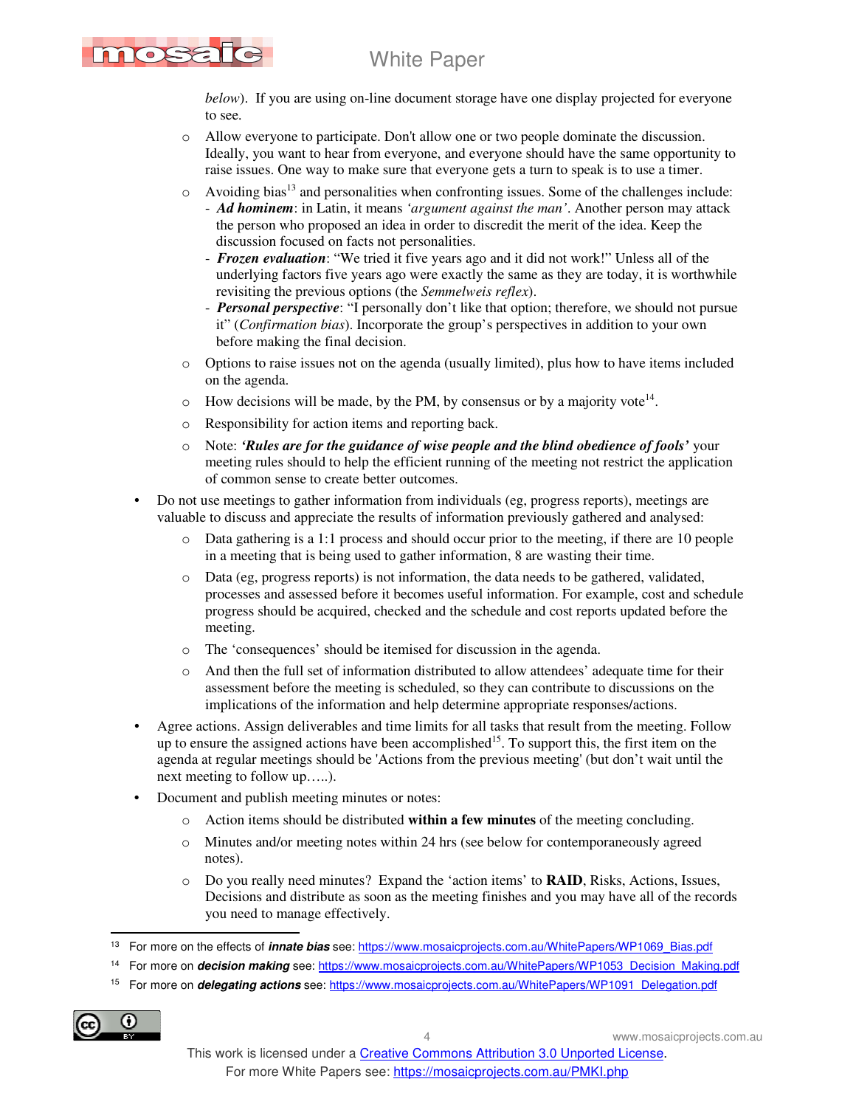*below*). If you are using on-line document storage have one display projected for everyone to see.

- o Allow everyone to participate. Don't allow one or two people dominate the discussion. Ideally, you want to hear from everyone, and everyone should have the same opportunity to raise issues. One way to make sure that everyone gets a turn to speak is to use a timer.
- Avoiding bias<sup>13</sup> and personalities when confronting issues. Some of the challenges include: - *Ad hominem*: in Latin, it means *'argument against the man'*. Another person may attack the person who proposed an idea in order to discredit the merit of the idea. Keep the discussion focused on facts not personalities.
	- *Frozen evaluation*: "We tried it five years ago and it did not work!" Unless all of the underlying factors five years ago were exactly the same as they are today, it is worthwhile revisiting the previous options (the *Semmelweis reflex*).
	- *Personal perspective*: "I personally don't like that option; therefore, we should not pursue it" (*Confirmation bias*). Incorporate the group's perspectives in addition to your own before making the final decision.
- o Options to raise issues not on the agenda (usually limited), plus how to have items included on the agenda.
- $\circ$  How decisions will be made, by the PM, by consensus or by a majority vote<sup>14</sup>.
- o Responsibility for action items and reporting back.
- o Note: *'Rules are for the guidance of wise people and the blind obedience of fools'* your meeting rules should to help the efficient running of the meeting not restrict the application of common sense to create better outcomes.
- Do not use meetings to gather information from individuals (eg, progress reports), meetings are valuable to discuss and appreciate the results of information previously gathered and analysed:
	- o Data gathering is a 1:1 process and should occur prior to the meeting, if there are 10 people in a meeting that is being used to gather information, 8 are wasting their time.
	- o Data (eg, progress reports) is not information, the data needs to be gathered, validated, processes and assessed before it becomes useful information. For example, cost and schedule progress should be acquired, checked and the schedule and cost reports updated before the meeting.
	- o The 'consequences' should be itemised for discussion in the agenda.
	- o And then the full set of information distributed to allow attendees' adequate time for their assessment before the meeting is scheduled, so they can contribute to discussions on the implications of the information and help determine appropriate responses/actions.
- Agree actions. Assign deliverables and time limits for all tasks that result from the meeting. Follow up to ensure the assigned actions have been accomplished<sup>15</sup>. To support this, the first item on the agenda at regular meetings should be 'Actions from the previous meeting' (but don't wait until the next meeting to follow up…..).
- Document and publish meeting minutes or notes:
	- o Action items should be distributed **within a few minutes** of the meeting concluding.
	- o Minutes and/or meeting notes within 24 hrs (see below for contemporaneously agreed notes).
	- o Do you really need minutes? Expand the 'action items' to **RAID**, Risks, Actions, Issues, Decisions and distribute as soon as the meeting finishes and you may have all of the records you need to manage effectively.

15 For more on **delegating actions** see: https://www.mosaicprojects.com.au/WhitePapers/WP1091\_Delegation.pdf



nos

 $\ddot{\phantom{a}}$ <sup>13</sup> For more on the effects of *innate bias* see: https://www.mosaicprojects.com.au/WhitePapers/WP1069\_Bias.pdf

<sup>&</sup>lt;sup>14</sup> For more on *decision making* see: https://www.mosaicprojects.com.au/WhitePapers/WP1053\_Decision\_Making.pdf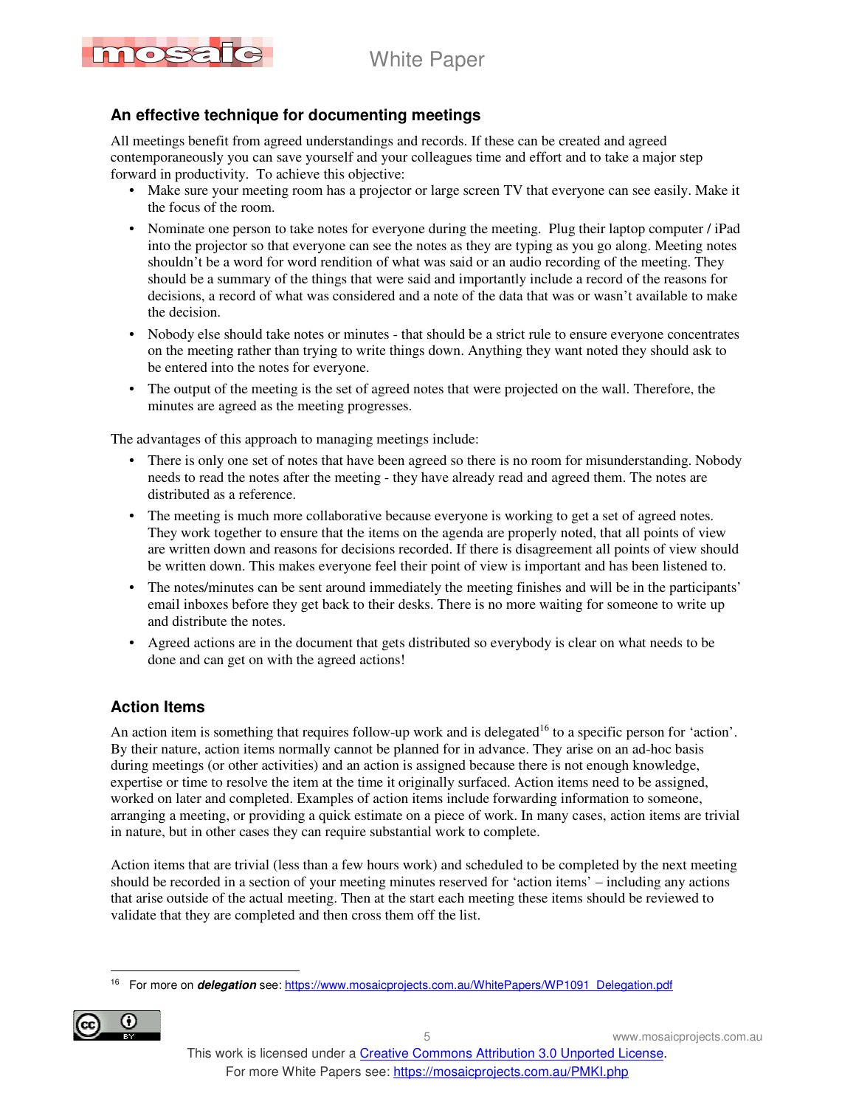



### **An effective technique for documenting meetings**

All meetings benefit from agreed understandings and records. If these can be created and agreed contemporaneously you can save yourself and your colleagues time and effort and to take a major step forward in productivity. To achieve this objective:

- Make sure your meeting room has a projector or large screen TV that everyone can see easily. Make it the focus of the room.
- Nominate one person to take notes for everyone during the meeting. Plug their laptop computer / iPad into the projector so that everyone can see the notes as they are typing as you go along. Meeting notes shouldn't be a word for word rendition of what was said or an audio recording of the meeting. They should be a summary of the things that were said and importantly include a record of the reasons for decisions, a record of what was considered and a note of the data that was or wasn't available to make the decision.
- Nobody else should take notes or minutes that should be a strict rule to ensure everyone concentrates on the meeting rather than trying to write things down. Anything they want noted they should ask to be entered into the notes for everyone.
- The output of the meeting is the set of agreed notes that were projected on the wall. Therefore, the minutes are agreed as the meeting progresses.

The advantages of this approach to managing meetings include:

- There is only one set of notes that have been agreed so there is no room for misunderstanding. Nobody needs to read the notes after the meeting - they have already read and agreed them. The notes are distributed as a reference.
- The meeting is much more collaborative because everyone is working to get a set of agreed notes. They work together to ensure that the items on the agenda are properly noted, that all points of view are written down and reasons for decisions recorded. If there is disagreement all points of view should be written down. This makes everyone feel their point of view is important and has been listened to.
- The notes/minutes can be sent around immediately the meeting finishes and will be in the participants' email inboxes before they get back to their desks. There is no more waiting for someone to write up and distribute the notes.
- Agreed actions are in the document that gets distributed so everybody is clear on what needs to be done and can get on with the agreed actions!

#### **Action Items**

An action item is something that requires follow-up work and is delegated<sup>16</sup> to a specific person for 'action'. By their nature, action items normally cannot be planned for in advance. They arise on an ad-hoc basis during meetings (or other activities) and an action is assigned because there is not enough knowledge, expertise or time to resolve the item at the time it originally surfaced. Action items need to be assigned, worked on later and completed. Examples of action items include forwarding information to someone, arranging a meeting, or providing a quick estimate on a piece of work. In many cases, action items are trivial in nature, but in other cases they can require substantial work to complete.

Action items that are trivial (less than a few hours work) and scheduled to be completed by the next meeting should be recorded in a section of your meeting minutes reserved for 'action items' – including any actions that arise outside of the actual meeting. Then at the start each meeting these items should be reviewed to validate that they are completed and then cross them off the list.

 $\overline{a}$ <sup>16</sup> For more on *delegation* see: https://www.mosaicprojects.com.au/WhitePapers/WP1091\_Delegation.pdf

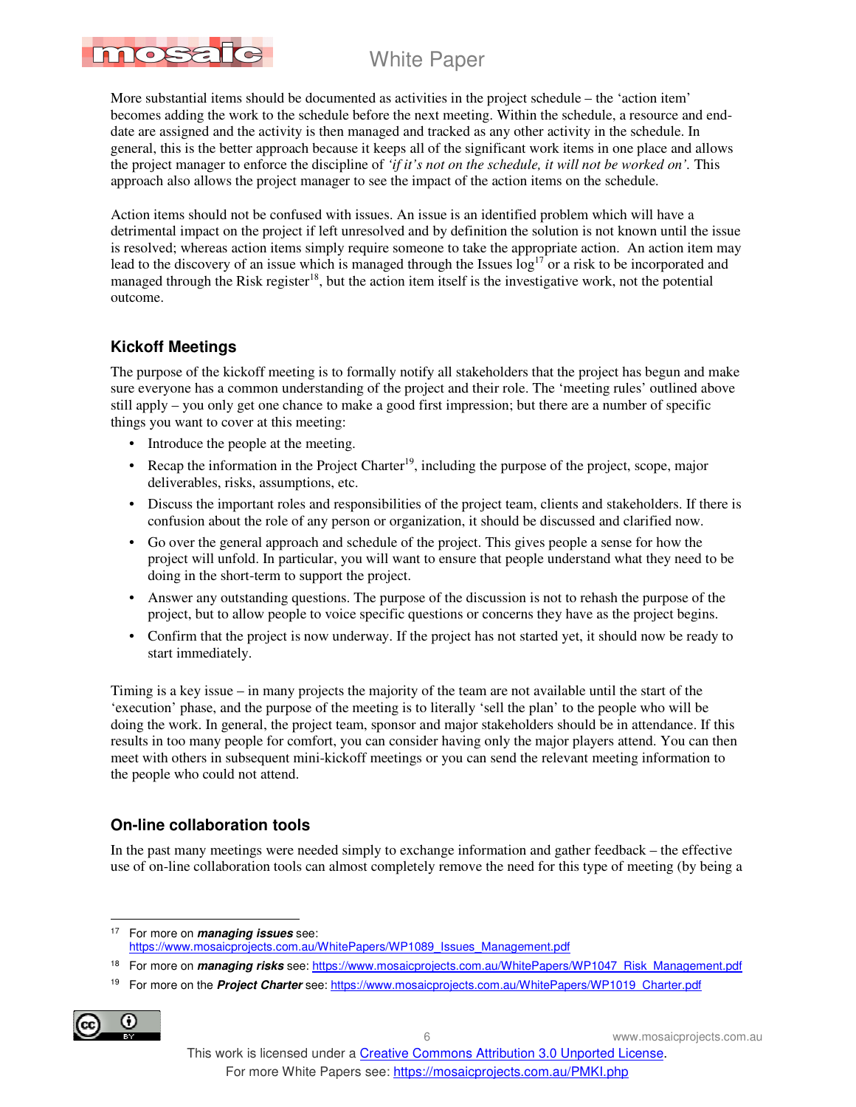nosa

More substantial items should be documented as activities in the project schedule – the 'action item' becomes adding the work to the schedule before the next meeting. Within the schedule, a resource and enddate are assigned and the activity is then managed and tracked as any other activity in the schedule. In general, this is the better approach because it keeps all of the significant work items in one place and allows the project manager to enforce the discipline of *'if it's not on the schedule, it will not be worked on'.* This approach also allows the project manager to see the impact of the action items on the schedule.

Action items should not be confused with issues. An issue is an identified problem which will have a detrimental impact on the project if left unresolved and by definition the solution is not known until the issue is resolved; whereas action items simply require someone to take the appropriate action. An action item may lead to the discovery of an issue which is managed through the Issues  $\log^{17}$  or a risk to be incorporated and managed through the Risk register<sup>18</sup>, but the action item itself is the investigative work, not the potential outcome.

### **Kickoff Meetings**

The purpose of the kickoff meeting is to formally notify all stakeholders that the project has begun and make sure everyone has a common understanding of the project and their role. The 'meeting rules' outlined above still apply – you only get one chance to make a good first impression; but there are a number of specific things you want to cover at this meeting:

- Introduce the people at the meeting.
- Recap the information in the Project Charter<sup>19</sup>, including the purpose of the project, scope, major deliverables, risks, assumptions, etc.
- Discuss the important roles and responsibilities of the project team, clients and stakeholders. If there is confusion about the role of any person or organization, it should be discussed and clarified now.
- Go over the general approach and schedule of the project. This gives people a sense for how the project will unfold. In particular, you will want to ensure that people understand what they need to be doing in the short-term to support the project.
- Answer any outstanding questions. The purpose of the discussion is not to rehash the purpose of the project, but to allow people to voice specific questions or concerns they have as the project begins.
- Confirm that the project is now underway. If the project has not started yet, it should now be ready to start immediately.

Timing is a key issue – in many projects the majority of the team are not available until the start of the 'execution' phase, and the purpose of the meeting is to literally 'sell the plan' to the people who will be doing the work. In general, the project team, sponsor and major stakeholders should be in attendance. If this results in too many people for comfort, you can consider having only the major players attend. You can then meet with others in subsequent mini-kickoff meetings or you can send the relevant meeting information to the people who could not attend.

#### **On-line collaboration tools**

In the past many meetings were needed simply to exchange information and gather feedback – the effective use of on-line collaboration tools can almost completely remove the need for this type of meeting (by being a

- <sup>18</sup> For more on *managing risks* see: https://www.mosaicprojects.com.au/WhitePapers/WP1047\_Risk\_Management.pdf
- 19 For more on the **Project Charter** see: https://www.mosaicprojects.com.au/WhitePapers/WP1019\_Charter.pdf



 $\ddot{\phantom{a}}$ <sup>17</sup> For more on **managing issues** see: https://www.mosaicprojects.com.au/WhitePapers/WP1089\_Issues\_Management.pdf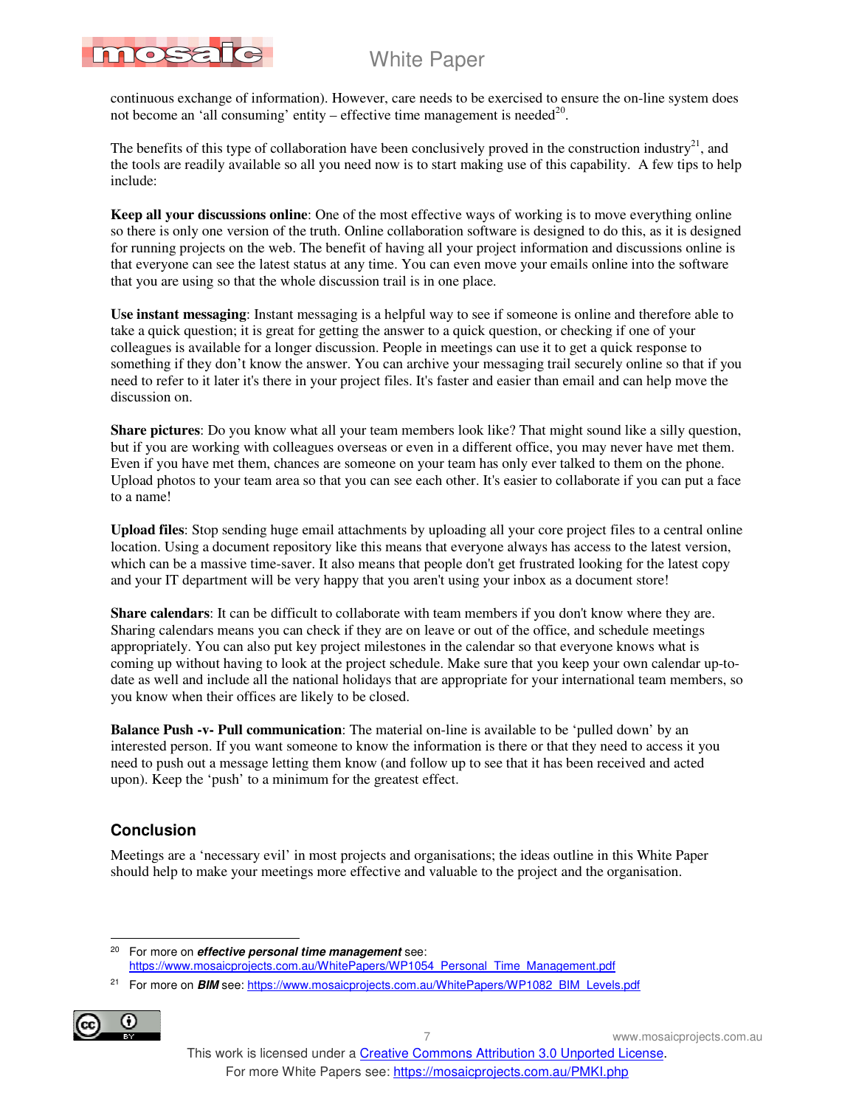

continuous exchange of information). However, care needs to be exercised to ensure the on-line system does not become an 'all consuming' entity – effective time management is needed $20$ .

The benefits of this type of collaboration have been conclusively proved in the construction industry<sup>21</sup>, and the tools are readily available so all you need now is to start making use of this capability. A few tips to help include:

**Keep all your discussions online**: One of the most effective ways of working is to move everything online so there is only one version of the truth. Online collaboration software is designed to do this, as it is designed for running projects on the web. The benefit of having all your project information and discussions online is that everyone can see the latest status at any time. You can even move your emails online into the software that you are using so that the whole discussion trail is in one place.

**Use instant messaging**: Instant messaging is a helpful way to see if someone is online and therefore able to take a quick question; it is great for getting the answer to a quick question, or checking if one of your colleagues is available for a longer discussion. People in meetings can use it to get a quick response to something if they don't know the answer. You can archive your messaging trail securely online so that if you need to refer to it later it's there in your project files. It's faster and easier than email and can help move the discussion on.

**Share pictures**: Do you know what all your team members look like? That might sound like a silly question, but if you are working with colleagues overseas or even in a different office, you may never have met them. Even if you have met them, chances are someone on your team has only ever talked to them on the phone. Upload photos to your team area so that you can see each other. It's easier to collaborate if you can put a face to a name!

**Upload files**: Stop sending huge email attachments by uploading all your core project files to a central online location. Using a document repository like this means that everyone always has access to the latest version, which can be a massive time-saver. It also means that people don't get frustrated looking for the latest copy and your IT department will be very happy that you aren't using your inbox as a document store!

**Share calendars**: It can be difficult to collaborate with team members if you don't know where they are. Sharing calendars means you can check if they are on leave or out of the office, and schedule meetings appropriately. You can also put key project milestones in the calendar so that everyone knows what is coming up without having to look at the project schedule. Make sure that you keep your own calendar up-todate as well and include all the national holidays that are appropriate for your international team members, so you know when their offices are likely to be closed.

**Balance Push -v- Pull communication**: The material on-line is available to be 'pulled down' by an interested person. If you want someone to know the information is there or that they need to access it you need to push out a message letting them know (and follow up to see that it has been received and acted upon). Keep the 'push' to a minimum for the greatest effect.

### **Conclusion**

Meetings are a 'necessary evil' in most projects and organisations; the ideas outline in this White Paper should help to make your meetings more effective and valuable to the project and the organisation.

 $\ddot{\phantom{a}}$ <sup>20</sup> For more on **effective personal time management** see: https://www.mosaicprojects.com.au/WhitePapers/WP1054\_Personal\_Time\_Management.pdf

<sup>&</sup>lt;sup>21</sup> For more on **BIM** see: https://www.mosaicprojects.com.au/WhitePapers/WP1082\_BIM\_Levels.pdf